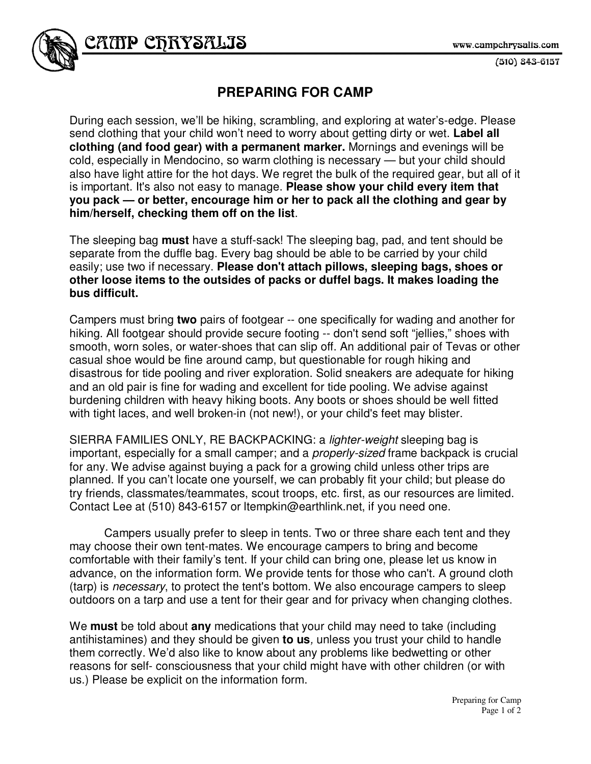$(510)$  843-6157

## **PREPARING FOR CAMP**

During each session, we'll be hiking, scrambling, and exploring at water's-edge. Please send clothing that your child won't need to worry about getting dirty or wet. **Label all clothing (and food gear) with a permanent marker.** Mornings and evenings will be cold, especially in Mendocino, so warm clothing is necessary — but your child should also have light attire for the hot days. We regret the bulk of the required gear, but all of it is important. It's also not easy to manage. **Please show your child every item that you pack — or better, encourage him or her to pack all the clothing and gear by him/herself, checking them off on the list**.

The sleeping bag **must** have a stuff-sack! The sleeping bag, pad, and tent should be separate from the duffle bag. Every bag should be able to be carried by your child easily; use two if necessary. **Please don't attach pillows, sleeping bags, shoes or other loose items to the outsides of packs or duffel bags. It makes loading the bus difficult.** 

Campers must bring **two** pairs of footgear -- one specifically for wading and another for hiking. All footgear should provide secure footing -- don't send soft "jellies," shoes with smooth, worn soles, or water-shoes that can slip off. An additional pair of Tevas or other casual shoe would be fine around camp, but questionable for rough hiking and disastrous for tide pooling and river exploration. Solid sneakers are adequate for hiking and an old pair is fine for wading and excellent for tide pooling. We advise against burdening children with heavy hiking boots. Any boots or shoes should be well fitted with tight laces, and well broken-in (not new!), or your child's feet may blister.

SIERRA FAMILIES ONLY, RE BACKPACKING: a lighter-weight sleeping bag is important, especially for a small camper; and a *properly-sized* frame backpack is crucial for any. We advise against buying a pack for a growing child unless other trips are planned. If you can't locate one yourself, we can probably fit your child; but please do try friends, classmates/teammates, scout troops, etc. first, as our resources are limited. Contact Lee at (510) 843-6157 or ltempkin@earthlink.net, if you need one.

 Campers usually prefer to sleep in tents. Two or three share each tent and they may choose their own tent-mates. We encourage campers to bring and become comfortable with their family's tent. If your child can bring one, please let us know in advance, on the information form. We provide tents for those who can't. A ground cloth (tarp) is necessary, to protect the tent's bottom. We also encourage campers to sleep outdoors on a tarp and use a tent for their gear and for privacy when changing clothes.

We **must** be told about **any** medications that your child may need to take (including antihistamines) and they should be given **to us**, unless you trust your child to handle them correctly. We'd also like to know about any problems like bedwetting or other reasons for self- consciousness that your child might have with other children (or with us.) Please be explicit on the information form.